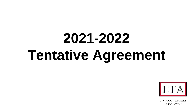# **2021-2022 Tentative Agreement**



**LYNWOOD TEACHERS ASSOCIATION**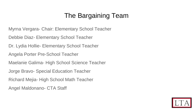#### The Bargaining Team

- Myrna Vergara- Chair: Elementary School Teacher
- Debbie Diaz- Elementary School Teacher
- Dr. Lydia Hollie- Elementary School Teacher
- Angela Porter Pre-School Teacher
- Maelanie Galima- High School Science Teacher
- Jorge Bravo- Special Education Teacher
- Richard Mejia- High School Math Teacher
- Angel Maldonano- CTA Staff

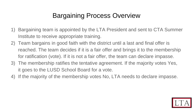#### Bargaining Process Overview

- 1) Bargaining team is appointed by the LTA President and sent to CTA Summer Institute to receive appropriate training.
- 2) Team bargains in good faith with the district until a last and final offer is reached. The team decides if it is a fair offer and brings it to the membership for ratification (vote). If it is not a fair offer, the team can declare impasse.
- 3) The membership ratifies the tentative agreement. If the majority votes Yes, it goes to the LUSD School Board for a vote.
- 4) If the majority of the membership votes No, LTA needs to declare impasse.

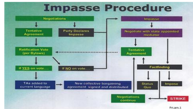

Fri,am.1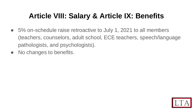## **Article VIII: Salary & Article IX: Benefits**

- 5% on-schedule raise retroactive to July 1, 2021 to all members (teachers, counselors, adult school, ECE teachers, speech/language pathologists, and psychologists).
- No changes to benefits.

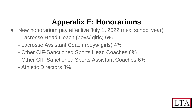#### **Appendix E: Honorariums**

- New honorarium pay effective July 1, 2022 (next school year):
	- Lacrosse Head Coach (boys/ girls) 6%
	- Lacrosse Assistant Coach (boys/ girls) 4%
	- Other CIF-Sanctioned Sports Head Coaches 6%
	- Other CIF-Sanctioned Sports Assistant Coaches 6%
	- Athletic Directors 8%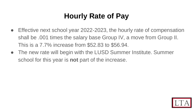#### **Hourly Rate of Pay**

- Effective next school year 2022-2023, the hourly rate of compensation shall be .001 times the salary base Group IV, a move from Group II. This is a 7.7% increase from \$52.83 to \$56.94.
- The new rate will begin with the LUSD Summer Institute. Summer school for this year is **not** part of the increase.

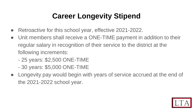# **Career Longevity Stipend**

- Retroactive for this school year, effective 2021-2022.
- Unit members shall receive a ONE-TIME payment in addition to their regular salary in recognition of their service to the district at the following increments:
	- 25 years: \$2,500 ONE-TIME
	- 30 years: \$5,000 ONE-TIME
- Longevity pay would begin with years of service accrued at the end of the 2021-2022 school year.

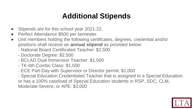#### **Additional Stipends**

- Stipends are for this school year 2021-22.
- Perfect Attendance \$500 per semester.
- Unit members holding the following certificates, degrees, credential and/or positions shall receive an **annual stipend** as provided below:
	- National Board Certificated Teacher: \$2,500
	- Doctorate Degree: \$2,500
	- BCLAD Dual Immersion Teacher: \$1,500
	- TK-6th Combo Class: \$1,500
	- ECE Part-Day with Supervisor or Director permit: \$1,000

- Special Education Credentialed Teacher that is assigned to a Special Education or has a 100% caseload of Special Education students in RSP, SDC, CLM, Moderate-Severe, or APE: \$3,000

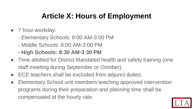## **Article X: Hours of Employment**

- 7 hour workday:
	- Elementary Schools: 8:00 AM-3:00 PM
	- Middle Schools: 8:00 AM-3:00 PM
	- **- High Schools: 8:30 AM-3:30 PM**
- Time allotted for District Mandated health and safety training (one staff meeting during September or October).
- ECE teachers shall be excluded from adjunct duties.
- Elementary School unit members teaching approved intervention programs during their preparation and planning time shall be compensated at the hourly rate.

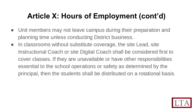## **Article X: Hours of Employment (cont'd)**

- Unit members may not leave campus during their preparation and planning time unless conducting District business.
- In classrooms without substitute coverage, the site Lead, site Instructional Coach or site Digital Coach shall be considered first to cover classes. If they are unavailable or have other responsibilities essential to the school operations or safety as determined by the principal, then the students shall be distributed on a rotational basis.

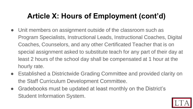## **Article X: Hours of Employment (cont'd)**

- Unit members on assignment outside of the classroom such as Program Specialists, Instructional Leads, Instructional Coaches, Digital Coaches, Counselors, and any other Certificated Teacher that is on special assignment asked to substitute teach for any part of their day at least 2 hours of the school day shall be compensated at 1 hour at the hourly rate.
- Established a Districtwide Grading Committee and provided clarity on the Staff Curriculum Development Committee.
- Gradebooks must be updated at least monthly on the District's Student Information System.

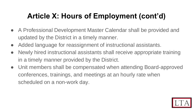# **Article X: Hours of Employment (cont'd)**

- A Professional Development Master Calendar shall be provided and updated by the District in a timely manner.
- Added language for reassignment of instructional assistants.
- Newly hired instructional assistants shall receive appropriate training in a timely manner provided by the District.
- Unit members shall be compensated when attending Board-approved conferences, trainings, and meetings at an hourly rate when scheduled on a non-work day.

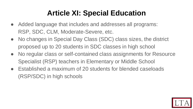## **Article XI: Special Education**

- Added language that includes and addresses all programs: RSP, SDC, CLM, Moderate-Severe, etc.
- No changes in Special Day Class (SDC) class sizes, the district proposed up to 20 students in SDC classes in high school
- No regular class or self-contained class assignments for Resource Specialist (RSP) teachers in Elementary or Middle School
- Established a maximum of 20 students for blended caseloads (RSP/SDC) in high schools

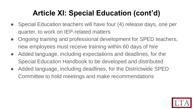# **Article XI: Special Education (cont'd)**

- Special Education teachers will have four (4) release days, one per quarter, to work on IEP-related matters
- Ongoing training and professional development for SPED teachers, new employees must receive training within 60 days of hire
- Added language, including expectations and deadlines, for the Special Education Handbook to be developed and distributed
- Added language, including deadlines, for the Districtwide SPED Committee to hold meetings and make recommendations

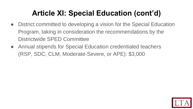# **Article XI: Special Education (cont'd)**

- District committed to developing a vision for the Special Education Program, taking in consideration the recommendations by the Districtwide SPED Committee
- Annual stipends for Special Education credentialed teachers (RSP, SDC, CLM, Moderate-Severe, or APE): \$3,000